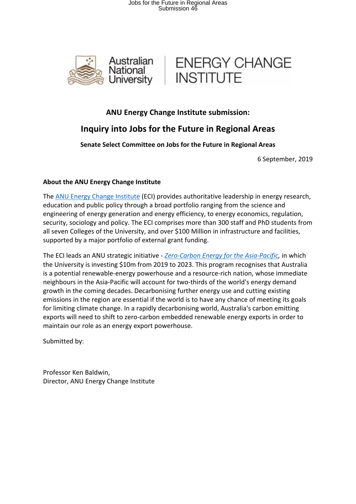Jobs for the Future in Regional Areas Submission 46





## **ANU Energy Change Institute submission:**

## **Inquiry into Jobs for the Future in Regional Areas**

### **Senate Select Committee on Jobs for the Future in Regional Areas**

6 September, 2019

#### **About the ANU Energy Change Institute**

The ANU Energy Change [Institute](https://energy.anu.edu.au/) (ECI) provides authoritative leadership in energy research, education and public policy through a broad portfolio ranging from the science and engineering of energy generation and energy efficiency, to energy economics, regulation, security, sociology and policy. The ECI comprises more than 300 staff and PhD students from all seven Colleges of the University, and over \$100 Million in infrastructure and facilities, supported by a major portfolio of external grant funding.

The ECI leads an ANU strategic initiative - *[Zero-Carbon](https://www.anu.edu.au/research/research-initiatives/zero-carbon-energy-for-the-asia-pacific) Energy for the Asia-Pacific,* in which the University is investing \$10m from 2019 to 2023. This program recognises that Australia is a potential renewable-energy powerhouse and a resource-rich nation, whose immediate neighbours in the Asia-Pacific will account for two-thirds of the world's energy demand growth in the coming decades. Decarbonising further energy use and cutting existing emissions in the region are essential if the world is to have any chance of meeting its goals for limiting climate change. In a rapidly decarbonising world, Australia's carbon emitting exports will need to shift to zero-carbon embedded renewable energy exports in order to maintain our role as an energy export powerhouse.

Submitted by:

Professor Ken Baldwin, Director, ANU Energy Change Institute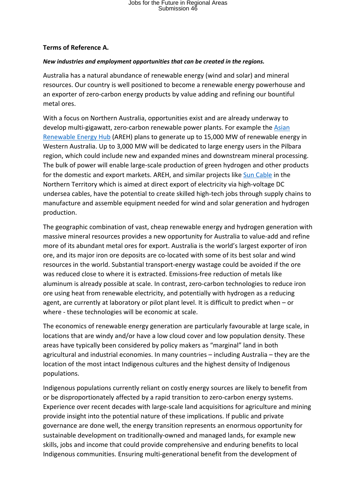## Jobs for the Future in Regional Areas Submission 46

#### **Terms of Reference A.**

#### *New industries and employment opportunities that can be created in the regions.*

Australia has a natural abundance of renewable energy (wind and solar) and mineral resources. Our country is well positioned to become a renewable energy powerhouse and an exporter of zero-carbon energy products by value adding and refining our bountiful metal ores.

With a focus on Northern Australia, opportunities exist and are already underway to develop multi-gigawatt, zero-carbon renewable power plants. For example the [Asian](https://asianrehub.com/) [Renewable](https://asianrehub.com/) Energy Hub (AREH) plans to generate up to 15,000 MW of renewable energy in Western Australia. Up to 3,000 MW will be dedicated to large energy users in the Pilbara region, which could include new and expanded mines and downstream mineral processing. The bulk of power will enable large-scale production of green hydrogen and other products for the domestic and export markets. AREH, and similar projects like Sun [Cable](https://www.suncable.sg/) in the Northern Territory which is aimed at direct export of electricity via high-voltage DC undersea cables, have the potential to create skilled high-tech jobs through supply chains to manufacture and assemble equipment needed for wind and solar generation and hydrogen production.

The geographic combination of vast, cheap renewable energy and hydrogen generation with massive mineral resources provides a new opportunity for Australia to value-add and refine more of its abundant metal ores for export. Australia is the world's largest exporter of iron ore, and its major iron ore deposits are co-located with some of its best solar and wind resources in the world. Substantial transport-energy wastage could be avoided if the ore was reduced close to where it is extracted. Emissions-free reduction of metals like aluminum is already possible at scale. In contrast, zero-carbon technologies to reduce iron ore using heat from renewable electricity, and potentially with hydrogen as a reducing agent, are currently at laboratory or pilot plant level. It is difficult to predict when – or where - these technologies will be economic at scale.

The economics of renewable energy generation are particularly favourable at large scale, in locations that are windy and/or have a low cloud cover and low population density. These areas have typically been considered by policy makers as "marginal" land in both agricultural and industrial economies. In many countries – including Australia – they are the location of the most intact Indigenous cultures and the highest density of Indigenous populations.

Indigenous populations currently reliant on costly energy sources are likely to benefit from or be disproportionately affected by a rapid transition to zero-carbon energy systems. Experience over recent decades with large-scale land acquisitions for agriculture and mining provide insight into the potential nature of these implications. If public and private governance are done well, the energy transition represents an enormous opportunity for sustainable development on traditionally-owned and managed lands, for example new skills, jobs and income that could provide comprehensive and enduring benefits to local Indigenous communities. Ensuring multi-generational benefit from the development of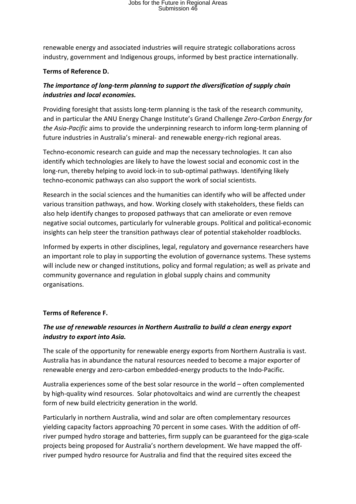# Jobs for the Future in Regional Areas Submission 46

renewable energy and associated industries will require strategic collaborations across industry, government and Indigenous groups, informed by best practice internationally.

#### **Terms of Reference D.**

### *The importance of long-term planning to support the diversification of supply chain industries and local economies.*

Providing foresight that assists long-term planning is the task of the research community, and in particular the ANU Energy Change Institute's Grand Challenge *Zero-Carbon Energy for the Asia-Pacific* aims to provide the underpinning research to inform long-term planning of future industries in Australia's mineral- and renewable energy-rich regional areas.

Techno-economic research can guide and map the necessary technologies. It can also identify which technologies are likely to have the lowest social and economic cost in the long-run, thereby helping to avoid lock-in to sub-optimal pathways. Identifying likely techno-economic pathways can also support the work of social scientists.

Research in the social sciences and the humanities can identify who will be affected under various transition pathways, and how. Working closely with stakeholders, these fields can also help identify changes to proposed pathways that can ameliorate or even remove negative social outcomes, particularly for vulnerable groups. Political and political-economic insights can help steer the transition pathways clear of potential stakeholder roadblocks.

Informed by experts in other disciplines, legal, regulatory and governance researchers have an important role to play in supporting the evolution of governance systems. These systems will include new or changed institutions, policy and formal regulation; as well as private and community governance and regulation in global supply chains and community organisations.

#### **Terms of Reference F.**

## *The use of renewable resources in Northern Australia to build a clean energy export industry to export into Asia.*

The scale of the opportunity for renewable energy exports from Northern Australia is vast. Australia has in abundance the natural resources needed to become a major exporter of renewable energy and zero-carbon embedded-energy products to the Indo-Pacific.

Australia experiences some of the best solar resource in the world – often complemented by high-quality wind resources. Solar photovoltaics and wind are currently the cheapest form of new build electricity generation in the world.

Particularly in northern Australia, wind and solar are often complementary resources yielding capacity factors approaching 70 percent in some cases. With the addition of offriver pumped hydro storage and batteries, firm supply can be guaranteed for the giga-scale projects being proposed for Australia's northern development. We have mapped the offriver pumped hydro resource for Australia and find that the required sites exceed the